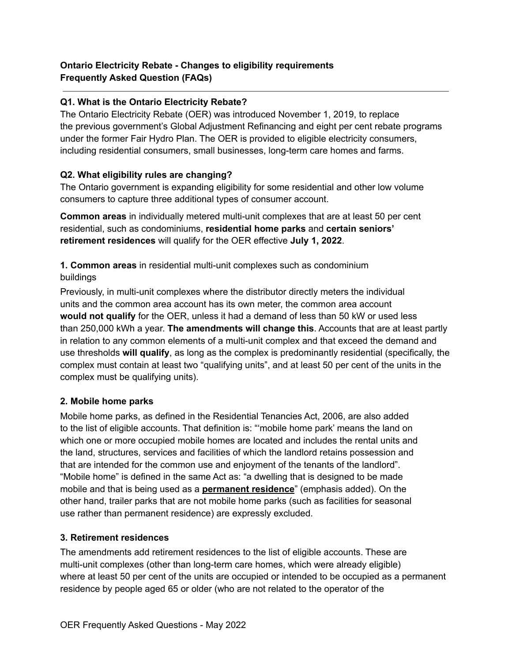# **Ontario Electricity Rebate - Changes to eligibility requirements Frequently Asked Question (FAQs)**

# **Q1. What is the Ontario Electricity Rebate?**

The Ontario Electricity Rebate (OER) was introduced November 1, 2019, to replace the previous government's Global Adjustment Refinancing and eight per cent rebate programs under the former Fair Hydro Plan. The OER is provided to eligible electricity consumers, including residential consumers, small businesses, long-term care homes and farms.

# **Q2. What eligibility rules are changing?**

The Ontario government is expanding eligibility for some residential and other low volume consumers to capture three additional types of consumer account.

**Common areas** in individually metered multi-unit complexes that are at least 50 per cent residential, such as condominiums, **residential home parks** and **certain seniors' retirement residences** will qualify for the OER effective **July 1, 2022**.

**1. Common areas** in residential multi-unit complexes such as condominium buildings

Previously, in multi-unit complexes where the distributor directly meters the individual units and the common area account has its own meter, the common area account **would not qualify** for the OER, unless it had a demand of less than 50 kW or used less than 250,000 kWh a year. **The amendments will change this**. Accounts that are at least partly in relation to any common elements of a multi-unit complex and that exceed the demand and use thresholds **will qualify**, as long as the complex is predominantly residential (specifically, the complex must contain at least two "qualifying units", and at least 50 per cent of the units in the complex must be qualifying units).

### **2. Mobile home parks**

Mobile home parks, as defined in the Residential Tenancies Act, 2006, are also added to the list of eligible accounts. That definition is: "'mobile home park' means the land on which one or more occupied mobile homes are located and includes the rental units and the land, structures, services and facilities of which the landlord retains possession and that are intended for the common use and enjoyment of the tenants of the landlord". "Mobile home" is defined in the same Act as: "a dwelling that is designed to be made mobile and that is being used as a **permanent residence**" (emphasis added). On the other hand, trailer parks that are not mobile home parks (such as facilities for seasonal use rather than permanent residence) are expressly excluded.

### **3. Retirement residences**

The amendments add retirement residences to the list of eligible accounts. These are multi-unit complexes (other than long-term care homes, which were already eligible) where at least 50 per cent of the units are occupied or intended to be occupied as a permanent residence by people aged 65 or older (who are not related to the operator of the